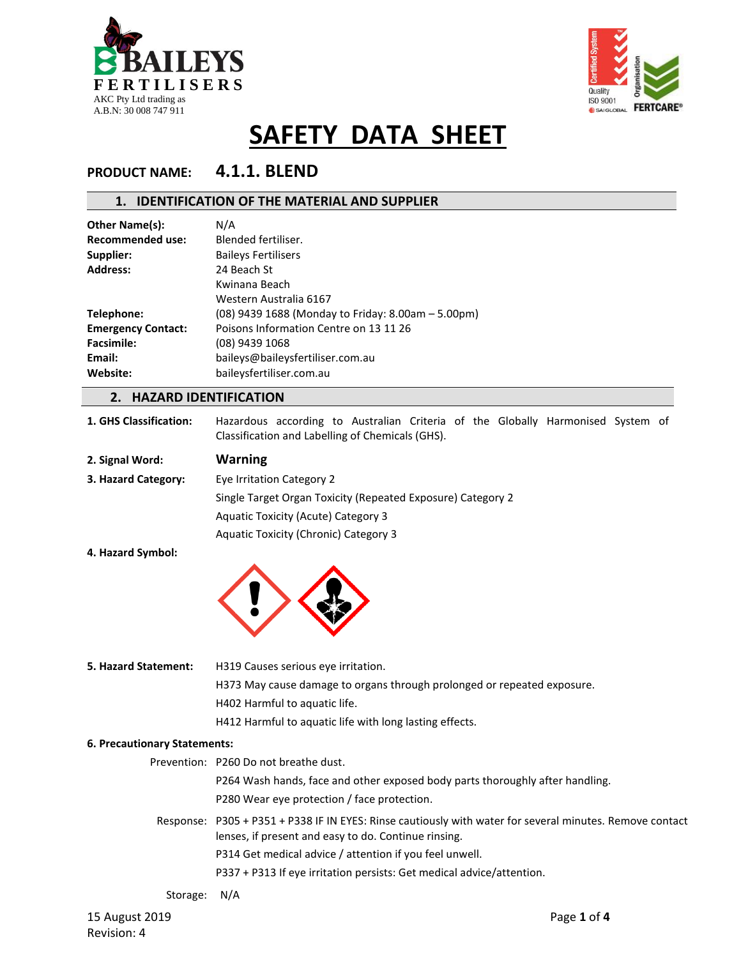



### **PRODUCT NAME: 4.1.1. BLEND**

### **1. IDENTIFICATION OF THE MATERIAL AND SUPPLIER**

| Other Name(s):            | N/A                                                |
|---------------------------|----------------------------------------------------|
| <b>Recommended use:</b>   | Blended fertiliser.                                |
| Supplier:                 | <b>Baileys Fertilisers</b>                         |
| <b>Address:</b>           | 24 Beach St                                        |
|                           | Kwinana Beach                                      |
|                           | Western Australia 6167                             |
| Telephone:                | (08) 9439 1688 (Monday to Friday: 8.00am - 5.00pm) |
| <b>Emergency Contact:</b> | Poisons Information Centre on 13 11 26             |
| <b>Facsimile:</b>         | (08) 9439 1068                                     |
| Email:                    | baileys@baileysfertiliser.com.au                   |
| Website:                  | baileysfertiliser.com.au                           |
|                           |                                                    |

### **2. HAZARD IDENTIFICATION**

| 1. GHS Classification: |                                                  |  |  |  | Hazardous according to Australian Criteria of the Globally Harmonised System of |  |
|------------------------|--------------------------------------------------|--|--|--|---------------------------------------------------------------------------------|--|
|                        | Classification and Labelling of Chemicals (GHS). |  |  |  |                                                                                 |  |

| 2. Signal Word:     | <b>Warning</b>                                              |
|---------------------|-------------------------------------------------------------|
| 3. Hazard Category: | Eye Irritation Category 2                                   |
|                     | Single Target Organ Toxicity (Repeated Exposure) Category 2 |
|                     | Aquatic Toxicity (Acute) Category 3                         |
|                     | Aquatic Toxicity (Chronic) Category 3                       |

**4. Hazard Symbol:**



15 August 2019 Page **1** of **4 5. Hazard Statement:** H319 Causes serious eye irritation. H373 May cause damage to organs through prolonged or repeated exposure. H402 Harmful to aquatic life. H412 Harmful to aquatic life with long lasting effects. **6. Precautionary Statements:** Prevention: P260 Do not breathe dust. P264 Wash hands, face and other exposed body parts thoroughly after handling. P280 Wear eye protection / face protection. Response: P305 + P351 + P338 IF IN EYES: Rinse cautiously with water for several minutes. Remove contact lenses, if present and easy to do. Continue rinsing. P314 Get medical advice / attention if you feel unwell. P337 + P313 If eye irritation persists: Get medical advice/attention. Storage: N/A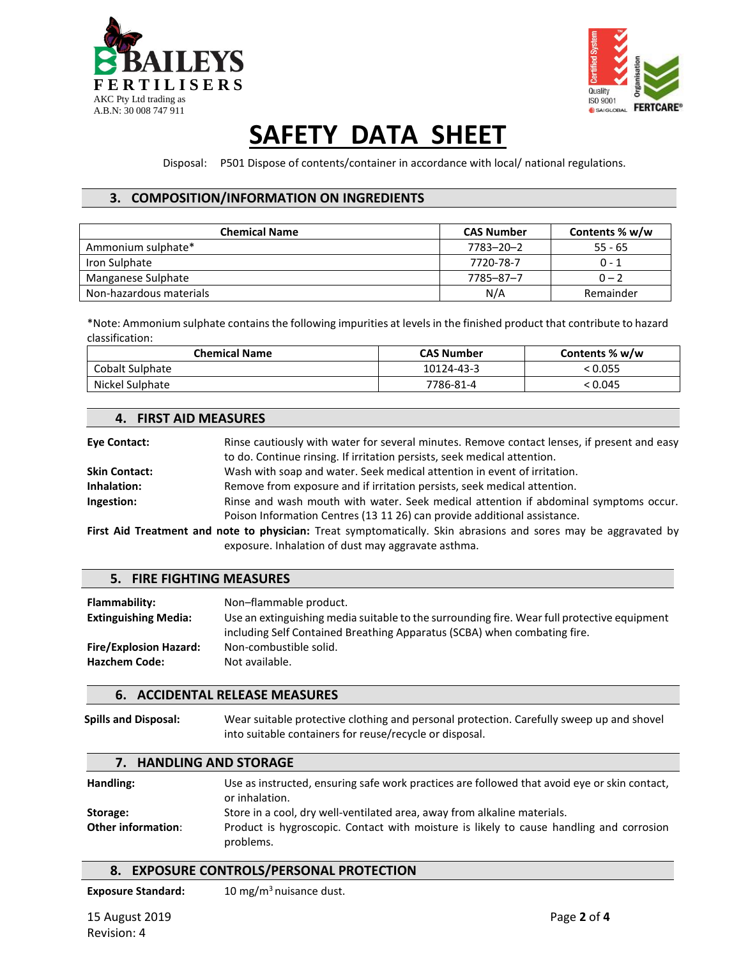



Disposal: P501 Dispose of contents/container in accordance with local/ national regulations.

### **3. COMPOSITION/INFORMATION ON INGREDIENTS**

| <b>Chemical Name</b>    | <b>CAS Number</b> | Contents % w/w |
|-------------------------|-------------------|----------------|
| Ammonium sulphate*      | 7783-20-2         | $55 - 65$      |
| Iron Sulphate           | 7720-78-7         | $0 - 1$        |
| Manganese Sulphate      | 7785–87–7         | $0 - 2$        |
| Non-hazardous materials | N/A               | Remainder      |

\*Note: Ammonium sulphate contains the following impurities at levels in the finished product that contribute to hazard classification:

| <b>Chemical Name</b> | <b>CAS Number</b> | Contents % w/w |
|----------------------|-------------------|----------------|
| Cobalt Sulphate      | 10124-43-3        | < 0.055        |
| Nickel Sulphate      | 7786-81-4         | < 0.045        |

### **4. FIRST AID MEASURES**

| Eye Contact:         | Rinse cautiously with water for several minutes. Remove contact lenses, if present and easy                     |
|----------------------|-----------------------------------------------------------------------------------------------------------------|
|                      | to do. Continue rinsing. If irritation persists, seek medical attention.                                        |
| <b>Skin Contact:</b> | Wash with soap and water. Seek medical attention in event of irritation.                                        |
| Inhalation:          | Remove from exposure and if irritation persists, seek medical attention.                                        |
| Ingestion:           | Rinse and wash mouth with water. Seek medical attention if abdominal symptoms occur.                            |
|                      | Poison Information Centres (13 11 26) can provide additional assistance.                                        |
|                      | First Aid Treatment and note to physician: Treat symptomatically. Skin abrasions and sores may be aggravated by |
|                      | exposure. Inhalation of dust may aggravate asthma.                                                              |

### **5. FIRE FIGHTING MEASURES**

| Flammability:                 | Non-flammable product.                                                                      |
|-------------------------------|---------------------------------------------------------------------------------------------|
| <b>Extinguishing Media:</b>   | Use an extinguishing media suitable to the surrounding fire. Wear full protective equipment |
|                               | including Self Contained Breathing Apparatus (SCBA) when combating fire.                    |
| <b>Fire/Explosion Hazard:</b> | Non-combustible solid.                                                                      |
| <b>Hazchem Code:</b>          | Not available.                                                                              |
|                               |                                                                                             |

### **6. ACCIDENTAL RELEASE MEASURES**

**Spills and Disposal:** Wear suitable protective clothing and personal protection. Carefully sweep up and shovel into suitable containers for reuse/recycle or disposal.

#### **7. HANDLING AND STORAGE**

| Handling:                 | Use as instructed, ensuring safe work practices are followed that avoid eye or skin contact,<br>or inhalation. |
|---------------------------|----------------------------------------------------------------------------------------------------------------|
| Storage:                  | Store in a cool, dry well-ventilated area, away from alkaline materials.                                       |
| <b>Other information:</b> | Product is hygroscopic. Contact with moisture is likely to cause handling and corrosion<br>problems.           |

### **8. EXPOSURE CONTROLS/PERSONAL PROTECTION**

**Exposure Standard:** 10 mg/m<sup>3</sup> nuisance dust.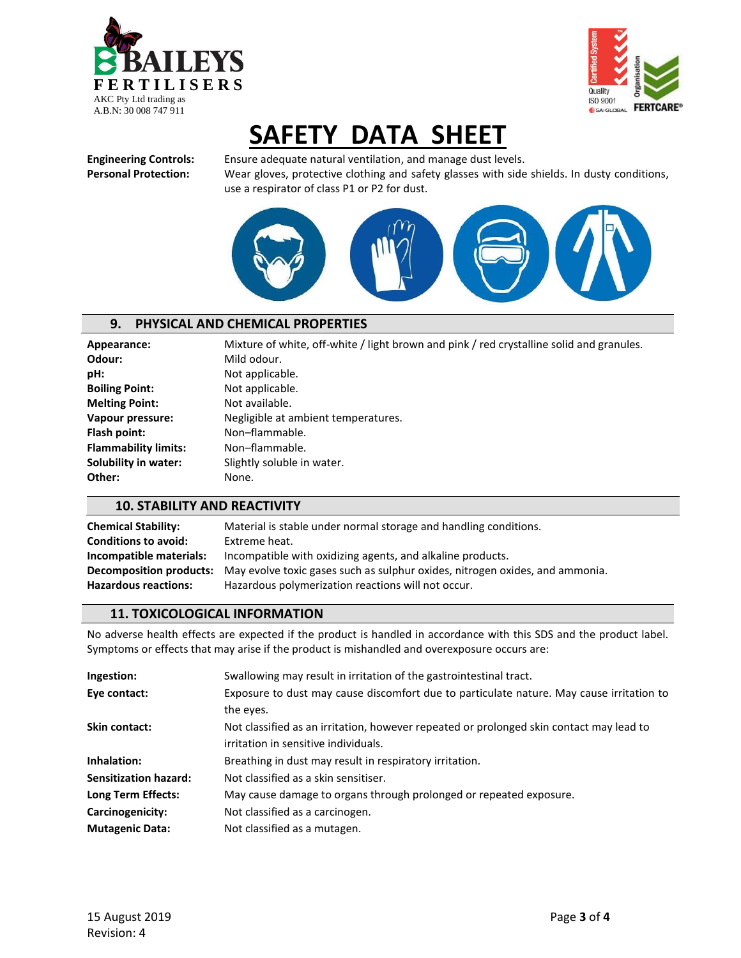



**Engineering Controls:** Ensure adequate natural ventilation, and manage dust levels. **Personal Protection:** Wear gloves, protective clothing and safety glasses with side shields. In dusty conditions, use a respirator of class P1 or P2 for dust.



### **9. PHYSICAL AND CHEMICAL PROPERTIES**

**Odour:** Mild odour. **pH:** Not applicable. **Boiling Point:** Not applicable. **Melting Point:** Not available. Flash point: Non-flammable. Flammability limits: Non-flammable. **Other:** None.

Appearance: Mixture of white, off-white / light brown and pink / red crystalline solid and granules. **Vapour pressure:** Negligible at ambient temperatures. **Solubility in water:** Slightly soluble in water.

### **10. STABILITY AND REACTIVITY**

| <b>Chemical Stability:</b>  | Material is stable under normal storage and handling conditions.                                            |
|-----------------------------|-------------------------------------------------------------------------------------------------------------|
| <b>Conditions to avoid:</b> | Extreme heat.                                                                                               |
| Incompatible materials:     | Incompatible with oxidizing agents, and alkaline products.                                                  |
|                             | <b>Decomposition products:</b> May evolve toxic gases such as sulphur oxides, nitrogen oxides, and ammonia. |
| <b>Hazardous reactions:</b> | Hazardous polymerization reactions will not occur.                                                          |

### **11. TOXICOLOGICAL INFORMATION**

No adverse health effects are expected if the product is handled in accordance with this SDS and the product label. Symptoms or effects that may arise if the product is mishandled and overexposure occurs are:

| Ingestion:                   | Swallowing may result in irritation of the gastrointestinal tract.                       |
|------------------------------|------------------------------------------------------------------------------------------|
| Eye contact:                 | Exposure to dust may cause discomfort due to particulate nature. May cause irritation to |
|                              | the eyes.                                                                                |
| Skin contact:                | Not classified as an irritation, however repeated or prolonged skin contact may lead to  |
|                              | irritation in sensitive individuals.                                                     |
| Inhalation:                  | Breathing in dust may result in respiratory irritation.                                  |
| <b>Sensitization hazard:</b> | Not classified as a skin sensitiser.                                                     |
| Long Term Effects:           | May cause damage to organs through prolonged or repeated exposure.                       |
| Carcinogenicity:             | Not classified as a carcinogen.                                                          |
| <b>Mutagenic Data:</b>       | Not classified as a mutagen.                                                             |